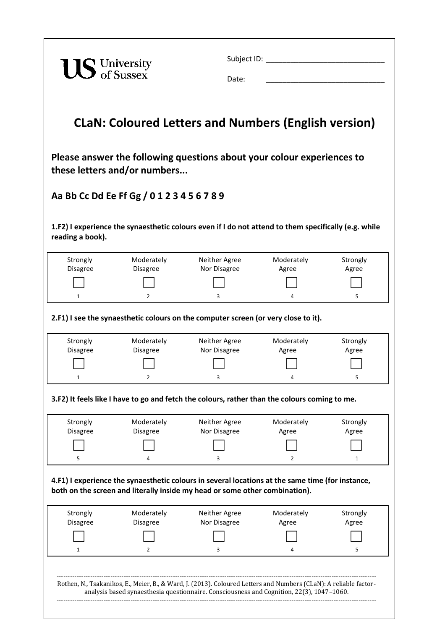| <b>US</b> University |                                            | Date:                                                                                                                                                                           | Subject ID: Note: Note: Note: Note: Note: Note: Note: Note: Note: Note: Note: Note: Note: Note: Note: Note: No |                   |
|----------------------|--------------------------------------------|---------------------------------------------------------------------------------------------------------------------------------------------------------------------------------|----------------------------------------------------------------------------------------------------------------|-------------------|
|                      |                                            | <b>CLaN: Coloured Letters and Numbers (English version)</b>                                                                                                                     |                                                                                                                |                   |
|                      | these letters and/or numbers               | Please answer the following questions about your colour experiences to                                                                                                          |                                                                                                                |                   |
|                      | Aa Bb Cc Dd Ee Ff Gg / 0 1 2 3 4 5 6 7 8 9 |                                                                                                                                                                                 |                                                                                                                |                   |
| reading a book).     |                                            | 1.F2) I experience the synaesthetic colours even if I do not attend to them specifically (e.g. while                                                                            |                                                                                                                |                   |
| Strongly             | Moderately                                 | Neither Agree                                                                                                                                                                   | Moderately                                                                                                     | Strongly          |
| Disagree             | <b>Disagree</b>                            | Nor Disagree                                                                                                                                                                    | Agree                                                                                                          | Agree             |
| $\mathbf{1}$         | $\overline{2}$                             | 3                                                                                                                                                                               | 4                                                                                                              | 5                 |
|                      |                                            | 2.F1) I see the synaesthetic colours on the computer screen (or very close to it).                                                                                              |                                                                                                                |                   |
|                      |                                            |                                                                                                                                                                                 |                                                                                                                |                   |
| Strongly             | Moderately                                 | Neither Agree                                                                                                                                                                   | Moderately                                                                                                     | Strongly          |
| Disagree             | <b>Disagree</b>                            | Nor Disagree                                                                                                                                                                    | Agree                                                                                                          | Agree             |
|                      |                                            |                                                                                                                                                                                 |                                                                                                                |                   |
|                      |                                            | 3.F2) It feels like I have to go and fetch the colours, rather than the colours coming to me.                                                                                   |                                                                                                                |                   |
| Strongly             | Moderately                                 | Neither Agree                                                                                                                                                                   | Moderately                                                                                                     | Strongly          |
| Disagree             | <b>Disagree</b>                            | Nor Disagree                                                                                                                                                                    | Agree                                                                                                          | Agree             |
|                      |                                            |                                                                                                                                                                                 |                                                                                                                |                   |
| 5                    |                                            | 3                                                                                                                                                                               | 2                                                                                                              | $\mathbf{1}$      |
|                      |                                            | 4.F1) I experience the synaesthetic colours in several locations at the same time (for instance,<br>both on the screen and literally inside my head or some other combination). |                                                                                                                |                   |
| Strongly<br>Disagree | Moderately<br><b>Disagree</b>              | Neither Agree<br>Nor Disagree                                                                                                                                                   | Moderately<br>Agree                                                                                            | Strongly<br>Agree |
|                      |                                            |                                                                                                                                                                                 |                                                                                                                |                   |
| 1                    | 2                                          | 3                                                                                                                                                                               | 4                                                                                                              | 5                 |
|                      |                                            |                                                                                                                                                                                 |                                                                                                                |                   |
|                      |                                            |                                                                                                                                                                                 |                                                                                                                |                   |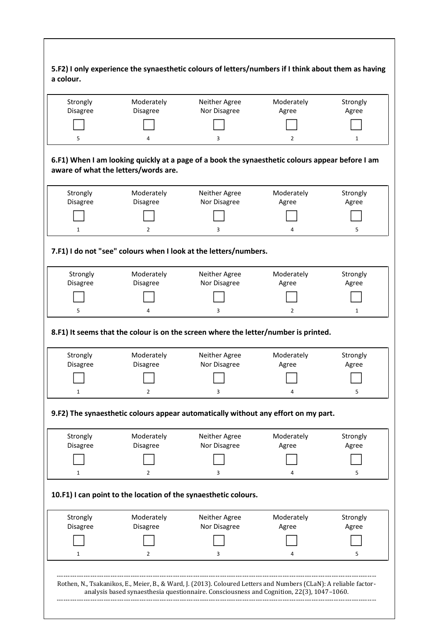| Strongly                    | Moderately                           | Neither Agree                                                                                        | Moderately          | Strongly          |
|-----------------------------|--------------------------------------|------------------------------------------------------------------------------------------------------|---------------------|-------------------|
| Disagree                    | <b>Disagree</b>                      | Nor Disagree                                                                                         | Agree               | Agree             |
|                             | 4                                    |                                                                                                      | $\overline{2}$      |                   |
| 5                           | aware of what the letters/words are. | 3<br>6.F1) When I am looking quickly at a page of a book the synaesthetic colours appear before I am |                     | $\mathbf{1}$      |
| Strongly                    | Moderately                           | Neither Agree                                                                                        | Moderately          | Strongly          |
| Disagree                    | <b>Disagree</b>                      | Nor Disagree                                                                                         | Agree               | Agree             |
|                             |                                      |                                                                                                      |                     |                   |
| $\mathbf{1}$                | $\overline{2}$                       | 3                                                                                                    | 4                   | 5                 |
|                             |                                      | 7.F1) I do not "see" colours when I look at the letters/numbers.                                     |                     |                   |
| Strongly                    | Moderately                           | Neither Agree                                                                                        | Moderately          | Strongly          |
| <b>Disagree</b>             | <b>Disagree</b>                      | Nor Disagree                                                                                         | Agree               | Agree             |
|                             |                                      |                                                                                                      |                     |                   |
|                             |                                      |                                                                                                      |                     |                   |
| 5                           | 4                                    | 3                                                                                                    | $\overline{2}$      | $\mathbf{1}$      |
|                             |                                      | 8.F1) It seems that the colour is on the screen where the letter/number is printed.                  |                     |                   |
| Strongly                    | Moderately                           | Neither Agree                                                                                        | Moderately          | Strongly          |
| Disagree                    | Disagree                             | Nor Disagree                                                                                         | Agree               | Agree             |
|                             |                                      |                                                                                                      |                     |                   |
| 1                           | 2                                    | 3                                                                                                    |                     | 5                 |
|                             |                                      | 9.F2) The synaesthetic colours appear automatically without any effort on my part.                   |                     |                   |
| Strongly<br><b>Disagree</b> | Moderately<br><b>Disagree</b>        | Neither Agree<br>Nor Disagree                                                                        | Moderately<br>Agree | Strongly<br>Agree |
|                             |                                      |                                                                                                      |                     |                   |
| 1                           | 2                                    | 3                                                                                                    | 4                   | 5                 |
|                             |                                      | 10.F1) I can point to the location of the synaesthetic colours.                                      |                     |                   |
| Strongly                    | Moderately                           | Neither Agree                                                                                        | Moderately          | Strongly          |
| <b>Disagree</b>             | <b>Disagree</b>                      | Nor Disagree                                                                                         | Agree               | Agree             |
|                             |                                      |                                                                                                      |                     |                   |